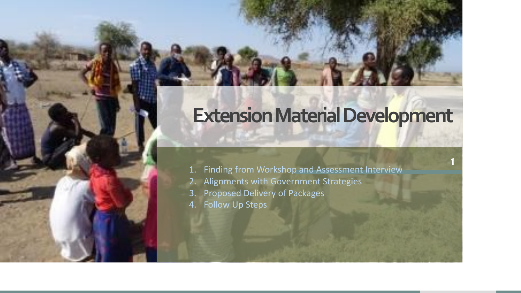## **Extension Material Development**

**1**

- 1. Finding from Workshop and Assessment Interview
- 2. Alignments with Government Strategies
- 3. Proposed Delivery of Packages
- 4. Follow Up Steps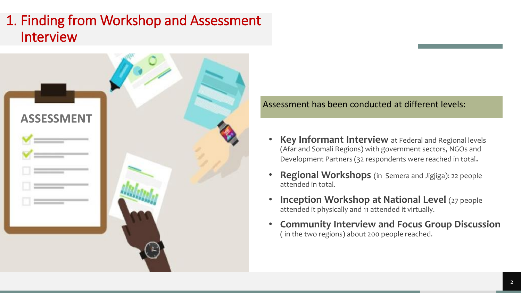### 1. Finding from Workshop and Assessment Interview



Assessment has been conducted at different levels:

- **Key Informant Interview** at Federal and Regional levels (Afar and Somali Regions) with government sectors, NGOs and Development Partners (32 respondents were reached in total.
- **Regional Workshops** (in Semera and Jigjiga): 22 people attended in total.
- **Inception Workshop at National Level** (27 people attended it physically and 11 attended it virtually.
- **Community Interview and Focus Group Discussion**  ( in the two regions) about 200 people reached.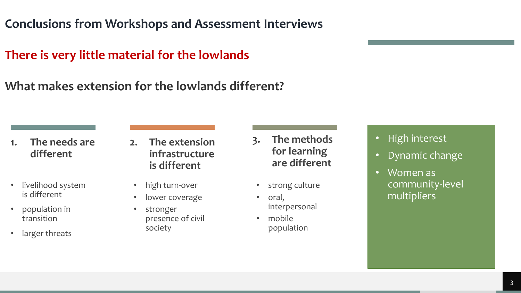#### **Conclusions from Workshops and Assessment Interviews**

#### **There is very little material for the lowlands**

**What makes extension for the lowlands different?**

- **1. The needs are different**
- livelihood system is different
- population in transition
- larger threats
- **2. The extension infrastructure is different**
- high turn-over
- lower coverage
- stronger presence of civil society
- **3. The methods for learning are different**
- strong culture
- oral, interpersonal
- mobile population
- High interest
- Dynamic change
- Women as community-level multipliers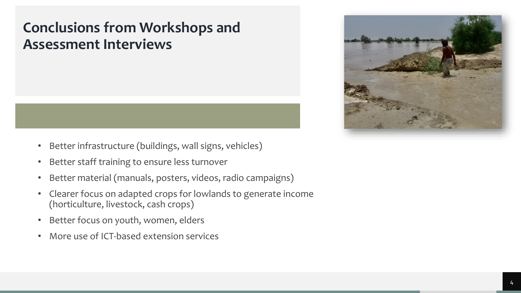## **Conclusions from Workshops and Assessment Interviews**

- Better infrastructure (buildings, wall signs, vehicles)
- Better staff training to ensure less turnover
- Better material (manuals, posters, videos, radio campaigns)
- Clearer focus on adapted crops for lowlands to generate income (horticulture, livestock, cash crops)
- Better focus on youth, women, elders
- More use of ICT-based extension services

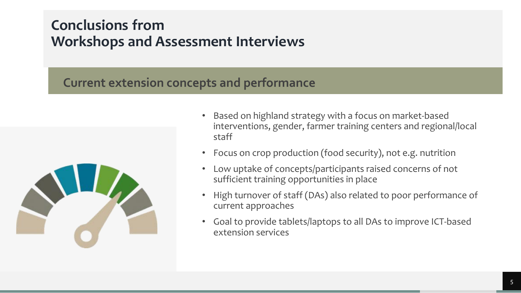### **Conclusions from Workshops and Assessment Interviews**

#### **Current extension concepts and performance**



- Based on highland strategy with a focus on market-based interventions, gender, farmer training centers and regional/local staff
- Focus on crop production (food security), not e.g. nutrition
- Low uptake of concepts/participants raised concerns of not sufficient training opportunities in place
- High turnover of staff (DAs) also related to poor performance of current approaches
- Goal to provide tablets/laptops to all DAs to improve ICT-based extension services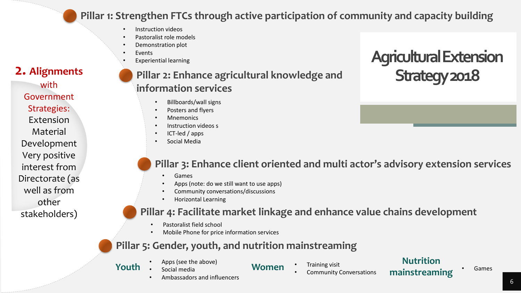**Pillar 1: Strengthen FTCs through active participation of community and capacity building**

- Instruction videos
- Pastoralist role models
- Demonstration plot
- **Events**
- Experiential learning

#### **2. Alignments**

with Government Strategies: Extension Material Development Very positive interest from Directorate (as well as from other stakeholders)

#### **Pillar 2: Enhance agricultural knowledge and information services**

- Billboards/wall signs
- Posters and flyers
- **Mnemonics**
- Instruction videos s
- ICT-led / apps
- Social Media

#### **Pillar 3: Enhance client oriented and multi actor's advisory extension services**

- Games
- Apps (note: do we still want to use apps)
- Community conversations/discussions
- Horizontal Learning

#### **Pillar 4: Facilitate market linkage and enhance value chains development**

- Pastoralist field school
- Mobile Phone for price information services

#### **Pillar 5: Gender, youth, and nutrition mainstreaming**

- Apps (see the above)
- Social media **Youth** • Social media **Women** • Training visit **Conversations mainstreaming** • Games
	- Ambassadors and influencers
- Training visit
	- Community Conversations

#### **Nutrition**

**mainstreaming**

## **Agricultural Extension Strategy 2018**

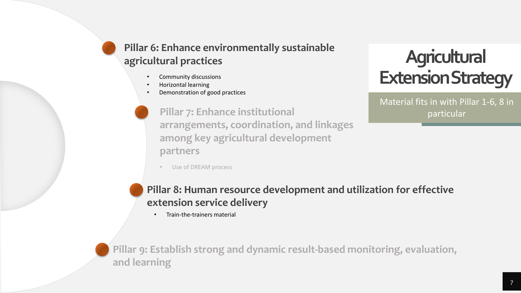#### **Pillar 6: Enhance environmentally sustainable agricultural practices Agricultural**

- Community discussions
- Horizontal learning
- Demonstration of good practices

**Pillar 7: Enhance institutional arrangements, coordination, and linkages among key agricultural development partners**

• Use of DREAM process

#### **Pillar 8: Human resource development and utilization for effective extension service delivery**

• Train-the-trainers material



**Pillar 9: Establish strong and dynamic result-based monitoring, evaluation, and learning**

# **Extension Strategy**

Material fits in with Pillar 1-6, 8 in particular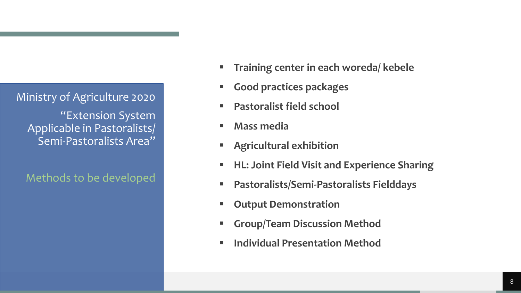Ministry of Agriculture 2020 "Extension System Applicable in Pastoralists/ Semi-Pastoralists Area"

Methods to be developed

- **Training center in each woreda/ kebele**
- **Good practices packages**
- **Pastoralist field school**
- **Mass media**
- **Agricultural exhibition**
- **HL: Joint Field Visit and Experience Sharing**
- **Pastoralists/Semi-Pastoralists Fielddays**
- **Output Demonstration**
- **Group/Team Discussion Method**
- **Individual Presentation Method**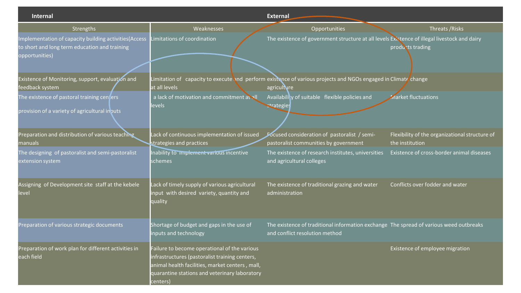| <b>Internal</b>                                                                                                          |                                                                                                                                                                                                                | <b>External</b>                                                                                                               |                                                                   |
|--------------------------------------------------------------------------------------------------------------------------|----------------------------------------------------------------------------------------------------------------------------------------------------------------------------------------------------------------|-------------------------------------------------------------------------------------------------------------------------------|-------------------------------------------------------------------|
| Strengths                                                                                                                | Weaknesses                                                                                                                                                                                                     | Opportunities                                                                                                                 | Threats / Risks                                                   |
| Implementation of capacity building activities(Access<br>to short and long term education and training<br>opportunities) | Limitations of coordination                                                                                                                                                                                    | The existence of government structure at all levels Existence of illegal livestock and dairy                                  | products trading                                                  |
| Existence of Monitoring, support, evaluation and<br>feedback system                                                      | at all levels                                                                                                                                                                                                  | Limitation of capacity to execute and perform existence of various projects and NGOs engaged in Climate change<br>agriculture |                                                                   |
| The existence of pastoral training centers<br>provision of a variety of agricultural inputs                              | a lack of motivation and commitment at all<br>levels                                                                                                                                                           | Availabili y of suitable flexible policies and<br>strategies                                                                  | Market fluctuations                                               |
| Preparation and distribution of various teaching<br>manuals                                                              | Lack of continuous implementation of issued<br>strategies and practices                                                                                                                                        | Focused consideration of pastoralist / semi-<br>pastoralist communities by government                                         | Flexibility of the organizational structure of<br>the institution |
| The designing of pastoralist and semi-pastoralist<br>extension system                                                    | Inability to implement various incentive<br>schemes                                                                                                                                                            | The existence of research institutes, universities<br>and agricultural colleges                                               | Existence of cross-border animal diseases                         |
| Assigning of Development site staff at the kebele<br>level                                                               | Lack of timely supply of various agricultural<br>input with desired variety, quantity and<br>quality                                                                                                           | The existence of traditional grazing and water<br>administration                                                              | Conflicts over fodder and water                                   |
| Preparation of various strategic documents                                                                               | Shortage of budget and gaps in the use of<br>inputs and technology                                                                                                                                             | The existence of traditional information exchange The spread of various weed outbreaks<br>and conflict resolution method      |                                                                   |
| Preparation of work plan for different activities in<br>each field                                                       | Failure to become operational of the various<br>infrastructures (pastoralist training centers,<br>animal health facilities, market centers, mall,<br>quarantine stations and veterinary laboratory<br>centers) |                                                                                                                               | Existence of employee migration                                   |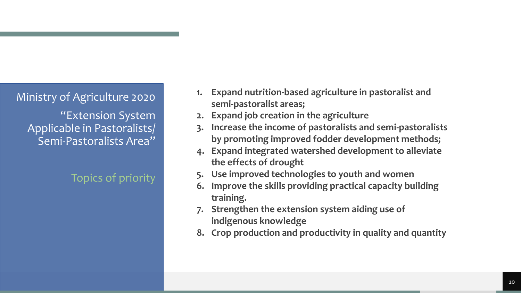Ministry of Agriculture 2020

"Extension System Applicable in Pastoralists/ Semi-Pastoralists Area"

Topics of priority

- **1. Expand nutrition-based agriculture in pastoralist and semi-pastoralist areas;**
- **2. Expand job creation in the agriculture**
- **3. Increase the income of pastoralists and semi-pastoralists by promoting improved fodder development methods;**
- **4. Expand integrated watershed development to alleviate the effects of drought**
- **5. Use improved technologies to youth and women**
- **6. Improve the skills providing practical capacity building training.**
- **7. Strengthen the extension system aiding use of indigenous knowledge**
- **8. Crop production and productivity in quality and quantity**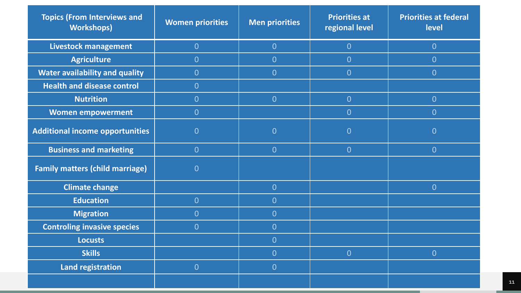| <b>Topics (From Interviews and</b><br><b>Workshops)</b> | <b>Women priorities</b> | <b>Men priorities</b> | <b>Priorities at</b><br>regional level | <b>Priorities at federal</b><br>level |
|---------------------------------------------------------|-------------------------|-----------------------|----------------------------------------|---------------------------------------|
| <b>Livestock management</b>                             | $\overline{0}$          | $\overline{0}$        | $\overline{0}$                         | $\overline{0}$                        |
| <b>Agriculture</b>                                      | $\overline{0}$          | $\overline{0}$        | $\overline{0}$                         | $\overline{0}$                        |
| <b>Water availability and quality</b>                   | $\overline{0}$          | $\overline{0}$        | $\mathbf{0}$                           | $\overline{0}$                        |
| <b>Health and disease control</b>                       | $\overline{0}$          |                       |                                        |                                       |
| <b>Nutrition</b>                                        | $\overline{0}$          | $\overline{0}$        | $\overline{0}$                         | $\overline{0}$                        |
| <b>Women empowerment</b>                                | $\overline{0}$          |                       | $\overline{0}$                         | $\overline{0}$                        |
| <b>Additional income opportunities</b>                  | $\overline{0}$          | $\overline{0}$        | $\overline{0}$                         | $\overline{0}$                        |
| <b>Business and marketing</b>                           | $\overline{0}$          | $\overline{0}$        | $\overline{0}$                         | $\overline{0}$                        |
| <b>Family matters (child marriage)</b>                  | $\overline{0}$          |                       |                                        |                                       |
| <b>Climate change</b>                                   |                         | $\overline{0}$        |                                        | $\overline{0}$                        |
| <b>Education</b>                                        | $\overline{0}$          | $\overline{0}$        |                                        |                                       |
| <b>Migration</b>                                        | $\overline{0}$          | $\overline{0}$        |                                        |                                       |
| <b>Controling invasive species</b>                      | $\overline{0}$          | $\overline{0}$        |                                        |                                       |
| <b>Locusts</b>                                          |                         | $\overline{0}$        |                                        |                                       |
| <b>Skills</b>                                           |                         | $\overline{0}$        | $\overline{0}$                         | $\overline{0}$                        |
| <b>Land registration</b>                                | $\overline{0}$          | $\overline{0}$        |                                        |                                       |
|                                                         |                         |                       |                                        |                                       |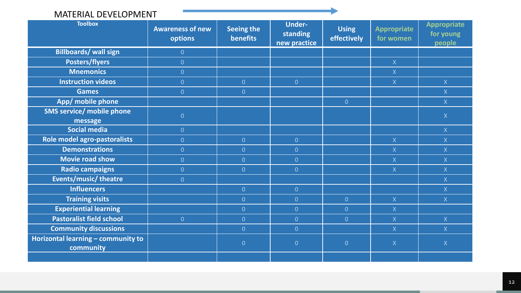#### MATERIAL DEVELOPMENT

| <b>Toolbox</b>                                  | <b>Awareness of new</b><br>options | Seeing the<br>benefits | <b>Under-</b><br>standing<br>new practice | <b>Using</b><br>effectively | <b>Appropriate</b><br>for women | <b>Appropriate</b><br>for young<br>people |
|-------------------------------------------------|------------------------------------|------------------------|-------------------------------------------|-----------------------------|---------------------------------|-------------------------------------------|
| <b>Billboards/ wall sign</b>                    | $\overline{0}$                     |                        |                                           |                             |                                 |                                           |
| <b>Posters/flyers</b>                           | $\overline{0}$                     |                        |                                           |                             | $\overline{X}$                  |                                           |
| <b>Mnemonics</b>                                | $\overline{0}$                     |                        |                                           |                             | $\mathsf{X}$                    |                                           |
| <b>Instruction videos</b>                       | $\overline{0}$                     | $\overline{0}$         | $\overline{0}$                            |                             | X                               | $\mathsf{X}$                              |
| <b>Games</b>                                    | $\overline{0}$                     | $\overline{0}$         |                                           |                             |                                 | $\overline{X}$                            |
| App/ mobile phone                               |                                    |                        |                                           | $\overline{0}$              |                                 | $\mathsf{X}$                              |
| <b>SMS service/ mobile phone</b><br>message     | $\overline{0}$                     |                        |                                           |                             |                                 | $\mathsf X$                               |
| <b>Social media</b>                             | $\overline{0}$                     |                        |                                           |                             |                                 | $\mathsf{X}$                              |
| Role model agro-pastoralists                    | $\overline{0}$                     | $\overline{0}$         | $\overline{0}$                            |                             | $\mathsf{X}$                    | $\mathsf{X}$                              |
| <b>Demonstrations</b>                           | $\overline{0}$                     | $\mathbf{0}$           | $\overline{0}$                            |                             | $\mathsf{X}$                    | $\mathsf{X}% _{0}$                        |
| <b>Movie road show</b>                          | $\overline{0}$                     | $\overline{0}$         | $\overline{0}$                            |                             | X                               | $\mathsf{X}$                              |
| <b>Radio campaigns</b>                          | $\overline{0}$                     | $\overline{0}$         | $\overline{0}$                            |                             | X                               | $\overline{X}$                            |
| <b>Events/music/theatre</b>                     | $\overline{0}$                     |                        |                                           |                             |                                 | $\mathsf{X}$                              |
| <b>Influencers</b>                              |                                    | $\mathbf{0}$           | $\overline{0}$                            |                             |                                 | $\mathsf{X}% _{0}$                        |
| <b>Training visits</b>                          |                                    | $\overline{0}$         | $\overline{0}$                            | $\overline{0}$              | $\mathsf{X}$                    | $\mathsf{X}$                              |
| <b>Experiential learning</b>                    |                                    | $\overline{0}$         | $\overline{0}$                            | $\overline{0}$              | $\mathsf{X}$                    |                                           |
| <b>Pastoralist field school</b>                 | $\overline{0}$                     | $\mathbf{0}$           | $\overline{0}$                            | $\overline{0}$              | $\mathsf{X}$                    | $\mathsf{X}% _{0}$                        |
| <b>Community discussions</b>                    |                                    | $\overline{0}$         | $\overline{0}$                            |                             | $\overline{X}$                  | $\overline{X}$                            |
| Horizontal learning - community to<br>community |                                    | $\overline{0}$         | $\overline{0}$                            | $\overline{0}$              | $\mathsf{X}$                    | $\overline{\mathsf{X}}$                   |
|                                                 |                                    |                        |                                           |                             |                                 |                                           |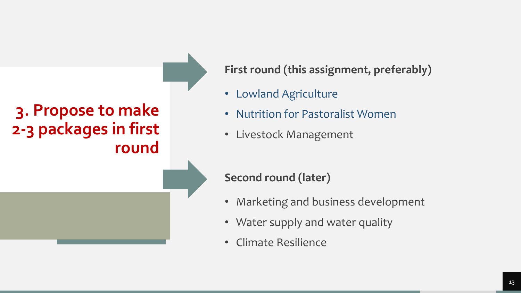## **3. Propose to make 2-3 packages in first round**

### **First round (this assignment, preferably)**

- Lowland Agriculture
- Nutrition for Pastoralist Women
- Livestock Management

#### **Second round (later)**

- Marketing and business development
- Water supply and water quality
- Climate Resilience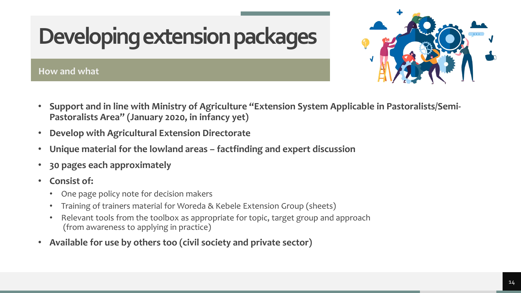# **Developing extension packages**

#### **How and what**



- **Support and in line with Ministry of Agriculture "Extension System Applicable in Pastoralists/Semi-Pastoralists Area" (January 2020, in infancy yet)**
- **Develop with Agricultural Extension Directorate**
- **Unique material for the lowland areas – factfinding and expert discussion**
- **30 pages each approximately**
- **Consist of:**
	- One page policy note for decision makers
	- Training of trainers material for Woreda & Kebele Extension Group (sheets)
	- Relevant tools from the toolbox as appropriate for topic, target group and approach (from awareness to applying in practice)
- **Available for use by others too (civil society and private sector)**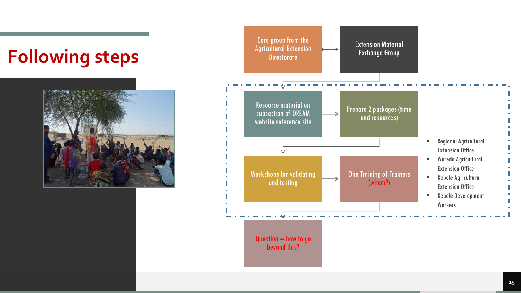## **Following steps**



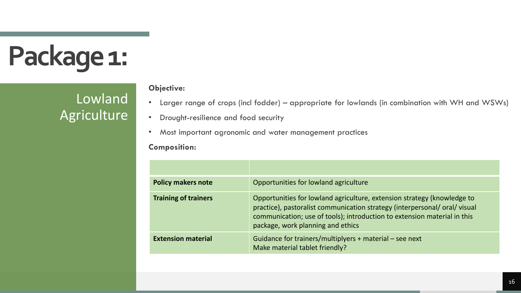# **Package 1:**

Lowland **Agriculture** 

#### **Objective:**

- Larger range of crops (incl fodder) appropriate for lowlands (in combination with WH and WSWs)
- Drought-resilience and food security
- Most important agronomic and water management practices

#### **Composition:**

| <b>Policy makers note</b>   | Opportunities for lowland agriculture                                                                                                                                                                                                                                |
|-----------------------------|----------------------------------------------------------------------------------------------------------------------------------------------------------------------------------------------------------------------------------------------------------------------|
| <b>Training of trainers</b> | Opportunities for lowland agriculture, extension strategy (knowledge to<br>practice), pastoralist communication strategy (interpersonal/oral/visual<br>communication; use of tools); introduction to extension material in this<br>package, work planning and ethics |
| <b>Extension material</b>   | Guidance for trainers/multiplyers + material – see next<br>Make material tablet friendly?                                                                                                                                                                            |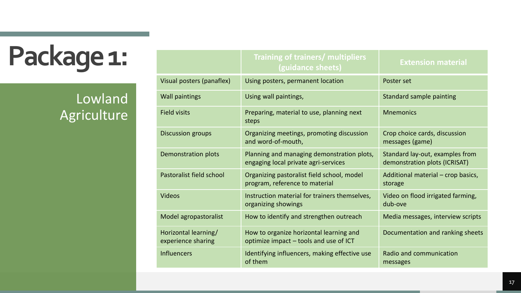# **Package 1:**

Lowland Agriculture

|                                            | Training of trainers/ multipliers<br>(guidance sheets)                             | <b>Extension material</b>                                        |
|--------------------------------------------|------------------------------------------------------------------------------------|------------------------------------------------------------------|
| Visual posters (panaflex)                  | Using posters, permanent location                                                  | Poster set                                                       |
| <b>Wall paintings</b>                      | Using wall paintings,                                                              | Standard sample painting                                         |
| <b>Field visits</b>                        | Preparing, material to use, planning next<br>steps                                 | <b>Mnemonics</b>                                                 |
| <b>Discussion groups</b>                   | Organizing meetings, promoting discussion<br>and word-of-mouth,                    | Crop choice cards, discussion<br>messages (game)                 |
| Demonstration plots                        | Planning and managing demonstration plots,<br>engaging local private agri-services | Standard lay-out, examples from<br>demonstration plots (ICRISAT) |
| Pastoralist field school                   | Organizing pastoralist field school, model<br>program, reference to material       | Additional material – crop basics,<br>storage                    |
| <b>Videos</b>                              | Instruction material for trainers themselves,<br>organizing showings               | Video on flood irrigated farming,<br>dub-ove                     |
| Model agropastoralist                      | How to identify and strengthen outreach                                            | Media messages, interview scripts                                |
| Horizontal learning/<br>experience sharing | How to organize horizontal learning and<br>optimize impact - tools and use of ICT  | Documentation and ranking sheets                                 |
| <b>Influencers</b>                         | Identifying influencers, making effective use<br>of them                           | Radio and communication<br>messages                              |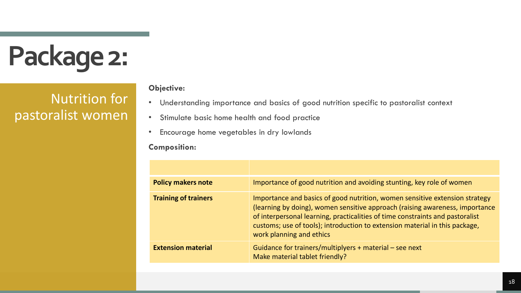# **Package 2:**

Nutrition for pastoralist women

#### **Objective:**

- Understanding importance and basics of good nutrition specific to pastoralist context
- Stimulate basic home health and food practice
- Encourage home vegetables in dry lowlands

#### **Composition:**

| <b>Policy makers note</b>   | Importance of good nutrition and avoiding stunting, key role of women                                                                                                                                                                                                                                                                                   |
|-----------------------------|---------------------------------------------------------------------------------------------------------------------------------------------------------------------------------------------------------------------------------------------------------------------------------------------------------------------------------------------------------|
| <b>Training of trainers</b> | Importance and basics of good nutrition, women sensitive extension strategy<br>(learning by doing), women sensitive approach (raising awareness, importance<br>of interpersonal learning, practicalities of time constraints and pastoralist<br>customs; use of tools); introduction to extension material in this package,<br>work planning and ethics |
| <b>Extension material</b>   | Guidance for trainers/multiplyers $+$ material $-$ see next<br>Make material tablet friendly?                                                                                                                                                                                                                                                           |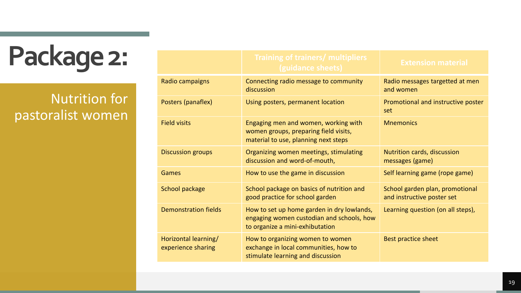# **Package 2:**

### Nutrition for pastoralist women

|                                            | <b>Training of trainers/ multipliers</b><br>(guidance sheets)                                                              | <b>Extension material</b>                                     |
|--------------------------------------------|----------------------------------------------------------------------------------------------------------------------------|---------------------------------------------------------------|
| Radio campaigns                            | Connecting radio message to community<br>discussion                                                                        | Radio messages targetted at men<br>and women                  |
| Posters (panaflex)                         | Using posters, permanent location                                                                                          | Promotional and instructive poster<br>set                     |
| <b>Field visits</b>                        | Engaging men and women, working with<br>women groups, preparing field visits,<br>material to use, planning next steps      | <b>Mnemonics</b>                                              |
| <b>Discussion groups</b>                   | Organizing women meetings, stimulating<br>discussion and word-of-mouth,                                                    | <b>Nutrition cards, discussion</b><br>messages (game)         |
| Games                                      | How to use the game in discussion                                                                                          | Self learning game (rope game)                                |
| School package                             | School package on basics of nutrition and<br>good practice for school garden                                               | School garden plan, promotional<br>and instructive poster set |
| <b>Demonstration fields</b>                | How to set up home garden in dry lowlands,<br>engaging women custodian and schools, how<br>to organize a mini-exhibutation | Learning question (on all steps),                             |
| Horizontal learning/<br>experience sharing | How to organizing women to women<br>exchange in local communities, how to<br>stimulate learning and discussion             | <b>Best practice sheet</b>                                    |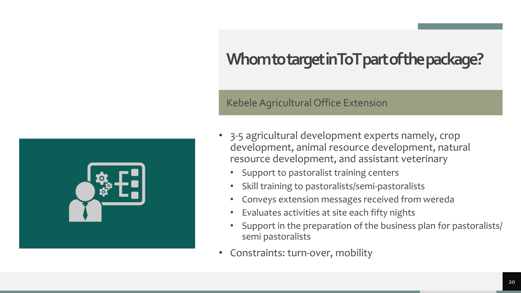## **Whom to target in ToTpart of the package?**

Kebele Agricultural Office Extension



- 3-5 agricultural development experts namely, crop development, animal resource development, natural resource development, and assistant veterinary
	- Support to pastoralist training centers
	- Skill training to pastoralists/semi-pastoralists
	- Conveys extension messages received from wereda
	- Evaluates activities at site each fifty nights
	- Support in the preparation of the business plan for pastoralists/ semi pastoralists
- Constraints: turn-over, mobility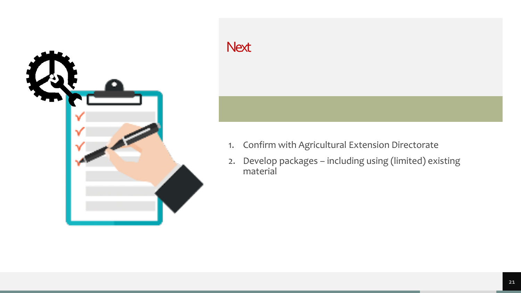

### **Next**

- 1. Confirm with Agricultural Extension Directorate
- 2. Develop packages including using (limited) existing material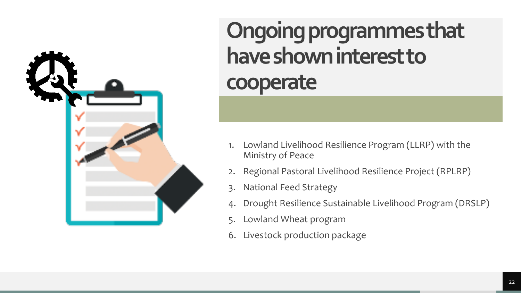

## **Ongoing programmesthat have shown interest to cooperate**

- 1. Lowland Livelihood Resilience Program (LLRP) with the Ministry of Peace
- 2. Regional Pastoral Livelihood Resilience Project (RPLRP)
- 3. National Feed Strategy
- 4. Drought Resilience Sustainable Livelihood Program (DRSLP)
- Lowland Wheat program
- 6. Livestock production package